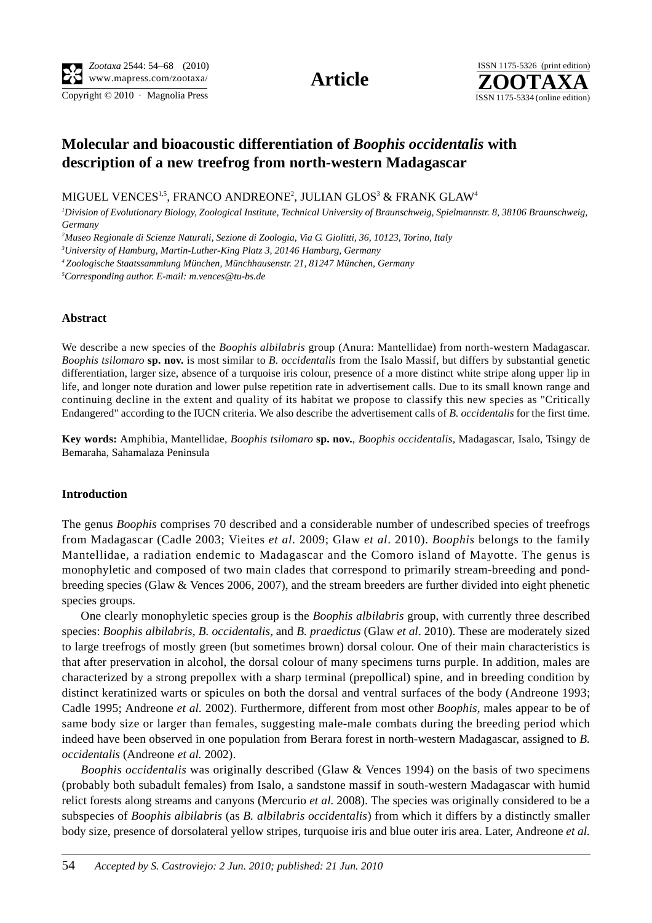Copyright  $© 2010$  · Magnolia Press ISSN 1175-5334 (online edition)



# **Molecular and bioacoustic differentiation of** *Boophis occidentalis* **with description of a new treefrog from north-western Madagascar**

MIGUEL VENCES $^{1,5}$ , FRANCO ANDREONE $^2$ , JULIAN GLOS $^3$  & FRANK GLAW $^4$ 

*1 Division of Evolutionary Biology, Zoological Institute, Technical University of Braunschweig, Spielmannstr. 8, 38106 Braunschweig, Germany*

*2 Museo Regionale di Scienze Naturali, Sezione di Zoologia, Via G. Giolitti, 36, 10123, Torino, Italy*

*3 University of Hamburg, Martin-Luther-King Platz 3, 20146 Hamburg, Germany*

*4 Zoologische Staatssammlung München, Münchhausenstr. 21, 81247 München, Germany*

*5 Corresponding author. E-mail: m.vences@tu-bs.de*

## **Abstract**

We describe a new species of the *Boophis albilabris* group (Anura: Mantellidae) from north-western Madagascar. *Boophis tsilomaro* **sp. nov.** is most similar to *B. occidentalis* from the Isalo Massif, but differs by substantial genetic differentiation, larger size, absence of a turquoise iris colour, presence of a more distinct white stripe along upper lip in life, and longer note duration and lower pulse repetition rate in advertisement calls. Due to its small known range and continuing decline in the extent and quality of its habitat we propose to classify this new species as "Critically Endangered" according to the IUCN criteria. We also describe the advertisement calls of *B. occidentalis* for the first time.

**Key words:** Amphibia, Mantellidae, *Boophis tsilomaro* **sp. nov.**, *Boophis occidentalis,* Madagascar, Isalo, Tsingy de Bemaraha, Sahamalaza Peninsula

#### **Introduction**

The genus *Boophis* comprises 70 described and a considerable number of undescribed species of treefrogs from Madagascar (Cadle 2003; Vieites *et al*. 2009; Glaw *et al*. 2010). *Boophis* belongs to the family Mantellidae, a radiation endemic to Madagascar and the Comoro island of Mayotte. The genus is monophyletic and composed of two main clades that correspond to primarily stream-breeding and pondbreeding species (Glaw & Vences 2006, 2007), and the stream breeders are further divided into eight phenetic species groups.

One clearly monophyletic species group is the *Boophis albilabris* group, with currently three described species: *Boophis albilabris, B. occidentalis,* and *B. praedictus* (Glaw *et al*. 2010). These are moderately sized to large treefrogs of mostly green (but sometimes brown) dorsal colour. One of their main characteristics is that after preservation in alcohol, the dorsal colour of many specimens turns purple. In addition, males are characterized by a strong prepollex with a sharp terminal (prepollical) spine, and in breeding condition by distinct keratinized warts or spicules on both the dorsal and ventral surfaces of the body (Andreone 1993; Cadle 1995; Andreone *et al.* 2002). Furthermore, different from most other *Boophis*, males appear to be of same body size or larger than females, suggesting male-male combats during the breeding period which indeed have been observed in one population from Berara forest in north-western Madagascar, assigned to *B. occidentalis* (Andreone *et al.* 2002).

*Boophis occidentalis* was originally described (Glaw & Vences 1994) on the basis of two specimens (probably both subadult females) from Isalo, a sandstone massif in south-western Madagascar with humid relict forests along streams and canyons (Mercurio *et al.* 2008). The species was originally considered to be a subspecies of *Boophis albilabris* (as *B. albilabris occidentalis*) from which it differs by a distinctly smaller body size, presence of dorsolateral yellow stripes, turquoise iris and blue outer iris area. Later, Andreone *et al.*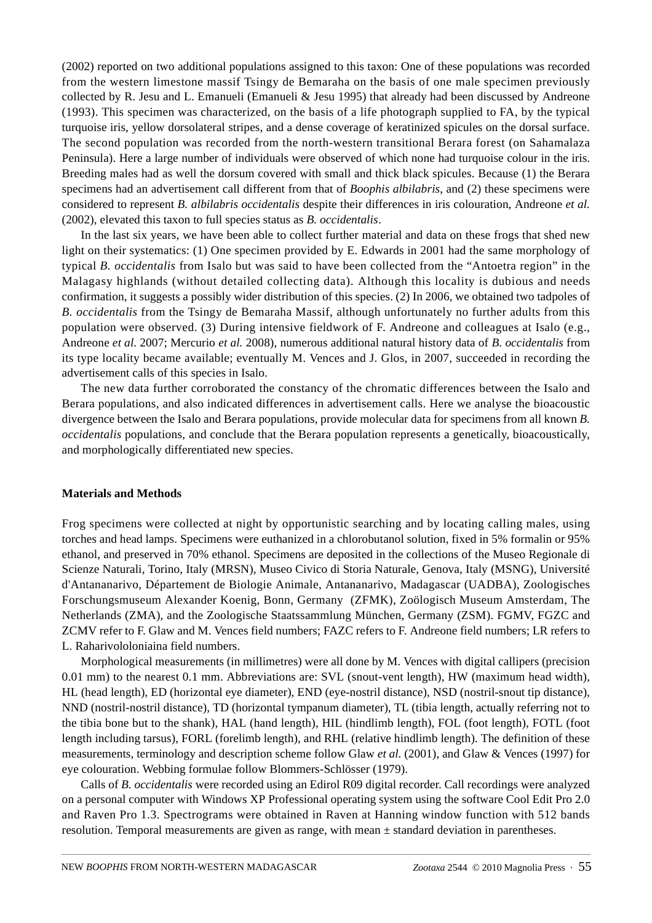(2002) reported on two additional populations assigned to this taxon: One of these populations was recorded from the western limestone massif Tsingy de Bemaraha on the basis of one male specimen previously collected by R. Jesu and L. Emanueli (Emanueli & Jesu 1995) that already had been discussed by Andreone (1993). This specimen was characterized, on the basis of a life photograph supplied to FA, by the typical turquoise iris, yellow dorsolateral stripes, and a dense coverage of keratinized spicules on the dorsal surface. The second population was recorded from the north-western transitional Berara forest (on Sahamalaza Peninsula). Here a large number of individuals were observed of which none had turquoise colour in the iris. Breeding males had as well the dorsum covered with small and thick black spicules. Because (1) the Berara specimens had an advertisement call different from that of *Boophis albilabris*, and (2) these specimens were considered to represent *B. albilabris occidentalis* despite their differences in iris colouration, Andreone *et al.* (2002), elevated this taxon to full species status as *B. occidentalis*.

In the last six years, we have been able to collect further material and data on these frogs that shed new light on their systematics: (1) One specimen provided by E. Edwards in 2001 had the same morphology of typical *B. occidentalis* from Isalo but was said to have been collected from the "Antoetra region" in the Malagasy highlands (without detailed collecting data). Although this locality is dubious and needs confirmation, it suggests a possibly wider distribution of this species. (2) In 2006, we obtained two tadpoles of *B. occidentalis* from the Tsingy de Bemaraha Massif, although unfortunately no further adults from this population were observed. (3) During intensive fieldwork of F. Andreone and colleagues at Isalo (e.g., Andreone *et al.* 2007; Mercurio *et al.* 2008), numerous additional natural history data of *B. occidentalis* from its type locality became available; eventually M. Vences and J. Glos, in 2007, succeeded in recording the advertisement calls of this species in Isalo.

The new data further corroborated the constancy of the chromatic differences between the Isalo and Berara populations, and also indicated differences in advertisement calls. Here we analyse the bioacoustic divergence between the Isalo and Berara populations, provide molecular data for specimens from all known *B. occidentalis* populations, and conclude that the Berara population represents a genetically, bioacoustically, and morphologically differentiated new species.

## **Materials and Methods**

Frog specimens were collected at night by opportunistic searching and by locating calling males, using torches and head lamps. Specimens were euthanized in a chlorobutanol solution, fixed in 5% formalin or 95% ethanol, and preserved in 70% ethanol. Specimens are deposited in the collections of the Museo Regionale di Scienze Naturali, Torino, Italy (MRSN), Museo Civico di Storia Naturale, Genova, Italy (MSNG), Université d'Antananarivo, Département de Biologie Animale, Antananarivo, Madagascar (UADBA), Zoologisches Forschungsmuseum Alexander Koenig, Bonn, Germany (ZFMK), Zoölogisch Museum Amsterdam, The Netherlands (ZMA), and the Zoologische Staatssammlung München, Germany (ZSM). FGMV, FGZC and ZCMV refer to F. Glaw and M. Vences field numbers; FAZC refers to F. Andreone field numbers; LR refers to L. Raharivololoniaina field numbers.

Morphological measurements (in millimetres) were all done by M. Vences with digital callipers (precision 0.01 mm) to the nearest 0.1 mm. Abbreviations are: SVL (snout-vent length), HW (maximum head width), HL (head length), ED (horizontal eye diameter), END (eye-nostril distance), NSD (nostril-snout tip distance), NND (nostril-nostril distance), TD (horizontal tympanum diameter), TL (tibia length, actually referring not to the tibia bone but to the shank), HAL (hand length), HIL (hindlimb length), FOL (foot length), FOTL (foot length including tarsus), FORL (forelimb length), and RHL (relative hindlimb length). The definition of these measurements, terminology and description scheme follow Glaw *et al.* (2001), and Glaw & Vences (1997) for eye colouration. Webbing formulae follow Blommers-Schlösser (1979).

Calls of *B. occidentalis* were recorded using an Edirol R09 digital recorder. Call recordings were analyzed on a personal computer with Windows XP Professional operating system using the software Cool Edit Pro 2.0 and Raven Pro 1.3. Spectrograms were obtained in Raven at Hanning window function with 512 bands resolution. Temporal measurements are given as range, with mean ± standard deviation in parentheses.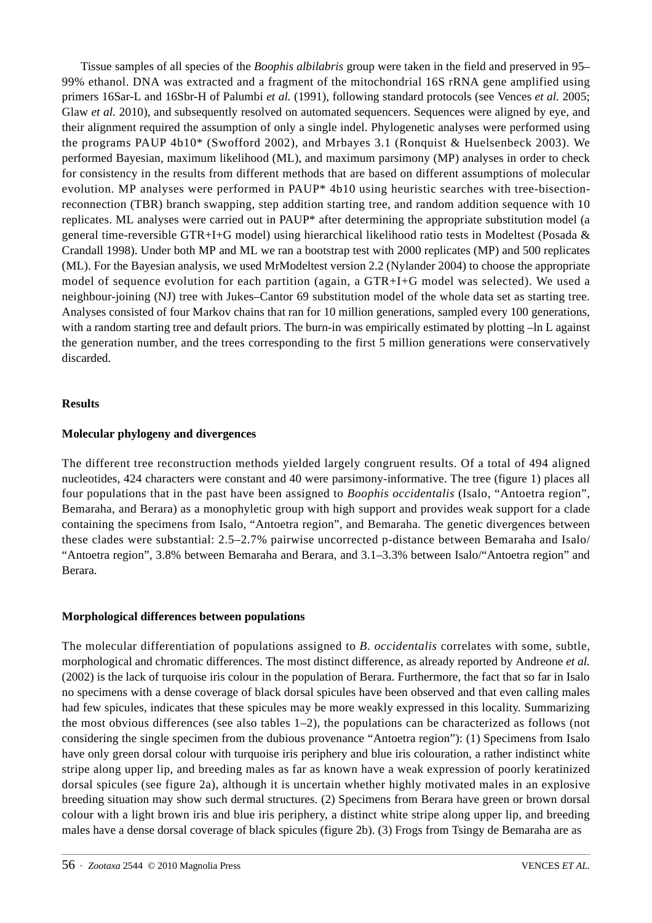Tissue samples of all species of the *Boophis albilabris* group were taken in the field and preserved in 95– 99% ethanol. DNA was extracted and a fragment of the mitochondrial 16S rRNA gene amplified using primers 16Sar-L and 16Sbr-H of Palumbi *et al.* (1991), following standard protocols (see Vences *et al.* 2005; Glaw *et al.* 2010), and subsequently resolved on automated sequencers. Sequences were aligned by eye, and their alignment required the assumption of only a single indel. Phylogenetic analyses were performed using the programs PAUP 4b10\* (Swofford 2002), and Mrbayes 3.1 (Ronquist & Huelsenbeck 2003). We performed Bayesian, maximum likelihood (ML), and maximum parsimony (MP) analyses in order to check for consistency in the results from different methods that are based on different assumptions of molecular evolution. MP analyses were performed in PAUP\* 4b10 using heuristic searches with tree-bisectionreconnection (TBR) branch swapping, step addition starting tree, and random addition sequence with 10 replicates. ML analyses were carried out in PAUP\* after determining the appropriate substitution model (a general time-reversible GTR+I+G model) using hierarchical likelihood ratio tests in Modeltest (Posada & Crandall 1998). Under both MP and ML we ran a bootstrap test with 2000 replicates (MP) and 500 replicates (ML). For the Bayesian analysis, we used MrModeltest version 2.2 (Nylander 2004) to choose the appropriate model of sequence evolution for each partition (again, a GTR+I+G model was selected). We used a neighbour-joining (NJ) tree with Jukes–Cantor 69 substitution model of the whole data set as starting tree. Analyses consisted of four Markov chains that ran for 10 million generations, sampled every 100 generations, with a random starting tree and default priors. The burn-in was empirically estimated by plotting  $-\ln L$  against the generation number, and the trees corresponding to the first 5 million generations were conservatively discarded.

## **Results**

# **Molecular phylogeny and divergences**

The different tree reconstruction methods yielded largely congruent results. Of a total of 494 aligned nucleotides, 424 characters were constant and 40 were parsimony-informative. The tree (figure 1) places all four populations that in the past have been assigned to *Boophis occidentalis* (Isalo, "Antoetra region", Bemaraha, and Berara) as a monophyletic group with high support and provides weak support for a clade containing the specimens from Isalo, "Antoetra region", and Bemaraha. The genetic divergences between these clades were substantial: 2.5–2.7% pairwise uncorrected p-distance between Bemaraha and Isalo/ "Antoetra region", 3.8% between Bemaraha and Berara, and 3.1–3.3% between Isalo/"Antoetra region" and Berara.

## **Morphological differences between populations**

The molecular differentiation of populations assigned to *B. occidentalis* correlates with some, subtle, morphological and chromatic differences. The most distinct difference, as already reported by Andreone *et al.* (2002) is the lack of turquoise iris colour in the population of Berara. Furthermore, the fact that so far in Isalo no specimens with a dense coverage of black dorsal spicules have been observed and that even calling males had few spicules, indicates that these spicules may be more weakly expressed in this locality. Summarizing the most obvious differences (see also tables  $1-2$ ), the populations can be characterized as follows (not considering the single specimen from the dubious provenance "Antoetra region"): (1) Specimens from Isalo have only green dorsal colour with turquoise iris periphery and blue iris colouration, a rather indistinct white stripe along upper lip, and breeding males as far as known have a weak expression of poorly keratinized dorsal spicules (see figure 2a), although it is uncertain whether highly motivated males in an explosive breeding situation may show such dermal structures. (2) Specimens from Berara have green or brown dorsal colour with a light brown iris and blue iris periphery, a distinct white stripe along upper lip, and breeding males have a dense dorsal coverage of black spicules (figure 2b). (3) Frogs from Tsingy de Bemaraha are as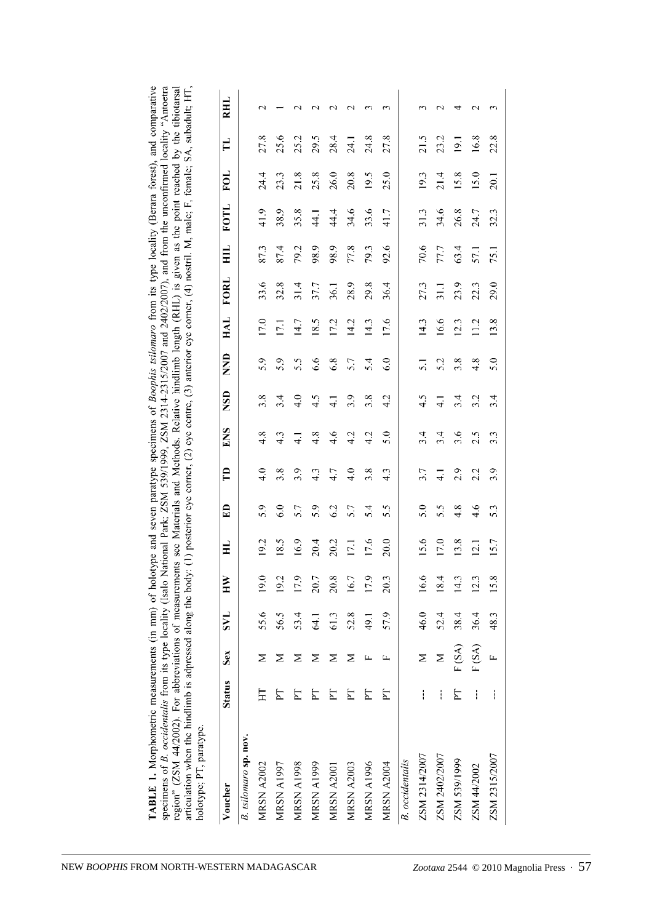| articulation when the hindlimb is adpressed along the body: (1) posterior eye comer, (2) aye centre, (3) anterior eye comer, (4) nostril. M, male; F, female; SA, subadult; HT<br>holotype; PT, paratype.<br>Voucher | <b>Status</b> | Sex   | <b>TAS</b>     | Ř    | HL   | £D  | Ê                | ENS              | <b>NSD</b>      | <b>CNN</b> | HAL  | FORL | $\Xi$ | <b>FOTL</b> | FOL  | H    | RHL                |
|----------------------------------------------------------------------------------------------------------------------------------------------------------------------------------------------------------------------|---------------|-------|----------------|------|------|-----|------------------|------------------|-----------------|------------|------|------|-------|-------------|------|------|--------------------|
| B. tsilomaro sp. nov.                                                                                                                                                                                                |               |       |                |      |      |     |                  |                  |                 |            |      |      |       |             |      |      |                    |
| <b>MRSN A2002</b>                                                                                                                                                                                                    | 丘             | Σ     | 55.6           | 19.0 | 19.2 | 5.9 | 4.0              | 4.8              | 3.8             | 5.9        | 17.0 | 33.6 | 87.3  | 41.9        | 24.4 | 27.8 | $\scriptstyle\sim$ |
| <b>MRSN A1997</b>                                                                                                                                                                                                    |               | ⋝     | 56.5           | 19.2 | 18.5 | 6.0 | 3.8              | 4.3              | 3.4             | 5.9        | 17.1 | 32.8 | 87.4  | 38.9        | 23.3 | 25.6 |                    |
| <b>MRSN A1998</b>                                                                                                                                                                                                    |               | ≥     | 53.4           | 17.9 | 16.9 | 5.7 | 3.9              | $\overline{4}$ . | 4.0             | 5.5        | 14.7 | 31.4 | 79.2  | 35.8        | 21.8 | 25.2 | $\sim$             |
| <b>MRSN A1999</b>                                                                                                                                                                                                    |               | ⋝     | $\overline{3}$ | 20.7 | 20.4 | 5.9 | 4.3              | 4.8              | 4.5             | 6.6        | 18.5 | 37.7 | 98.9  | 44.1        | 25.8 | 29.5 | $\sim$             |
| MRSN A2001                                                                                                                                                                                                           |               | ≥     | 61.3           | 20.8 | 20.2 | 62  | 4.7              | 4.6              | $\overline{41}$ | 6.8        | 17.2 | 36.1 | 98.9  | 44.4        | 26.0 | 28.4 | $\scriptstyle\sim$ |
| <b>MRSN A2003</b>                                                                                                                                                                                                    | Σ             | ⋝     | 52.8           | 16.7 | 17.1 | 5.7 | $\frac{0}{4}$    | 4.2              | 3.9             | 5.7        | 14.2 | 28.9 | 77.8  | 34.6        | 20.8 | 24.1 | $\sim$             |
| <b>MRSN A1996</b>                                                                                                                                                                                                    | Σ             |       | 49.1           | 17.9 | 17.6 | 5.4 | 3.8              | 4.2              | 3.8             | 5.4        | 14.3 | 29.8 | 79.3  | 33.6        | 19.5 | 24.8 | $\sim$             |
| <b>MRSN A2004</b>                                                                                                                                                                                                    |               |       | 57.9           | 20.3 | 20.0 | 5.5 | 4.3              | 5.0              | 4.2             | 6.0        | 17.6 | 36.4 | 92.6  | 41.7        | 25.0 | 27.8 | ς                  |
| <b>B.</b> occidentalis                                                                                                                                                                                               |               |       |                |      |      |     |                  |                  |                 |            |      |      |       |             |      |      |                    |
| ZSM 2314/2007                                                                                                                                                                                                        |               | Σ     | 46.0           | 16.6 | 15.6 | 5.0 | 3.7              | 3.4              | 4.5             | 51         | 14.3 | 27.3 | 70.6  | 31.3        | 19.3 | 21.5 | 3                  |
| ZSM 2402/2007                                                                                                                                                                                                        |               | Σ     | 52.4           | 18.4 | 17.0 | 5.5 | $\overline{4}$ . | 3.4              | $\overline{4}$  | 5.2        | 16.6 | 31.1 | 77.7  | 34.6        | 21.4 | 23.2 | $\sim$             |
| ZSM 539/1999                                                                                                                                                                                                         | E             | F(SA) | 38.4           | 14.3 | 13.8 | 4.8 | 2.9              | 3.6              | 3.4             | 3.8        | 12.3 | 23.9 | 63.4  | 26.8        | 15.8 | 19.1 | 4                  |
| ZSM 44/2002                                                                                                                                                                                                          |               | F(SA) | 36.4           | 12.3 | 12.1 | 4.6 | 2.2              | 2.5              | 3.2             | 4.8        | 11.2 | 22.3 | 57.1  | 24.7        | 15.0 | 16.8 | $\mathcal{L}$      |
| ZSM 2315/2007                                                                                                                                                                                                        |               |       | 48.3           | 15.8 | 15.7 | 5.3 | 3.9              | $3.\overline{3}$ | 3.4             | 5.0        | 13.8 | 29.0 | 75.1  | 32.3        | 20.1 | 22.8 | 3                  |

**TABLE 1.** Morphometric measurements (in mm) of holotype and seven paratype specimens of *Boophis tsilomaro* from its type locality (Berara forest), and comparative specimens of *B occidentality* from its type incompara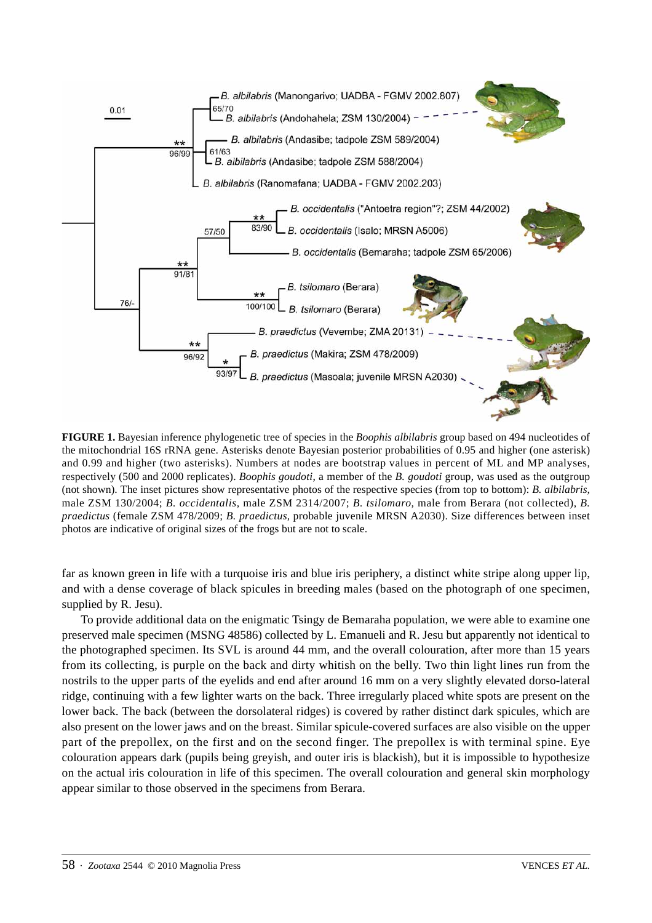

**FIGURE 1.** Bayesian inference phylogenetic tree of species in the *Boophis albilabris* group based on 494 nucleotides of the mitochondrial 16S rRNA gene. Asterisks denote Bayesian posterior probabilities of 0.95 and higher (one asterisk) and 0.99 and higher (two asterisks). Numbers at nodes are bootstrap values in percent of ML and MP analyses, respectively (500 and 2000 replicates). *Boophis goudoti*, a member of the *B. goudoti* group, was used as the outgroup (not shown). The inset pictures show representative photos of the respective species (from top to bottom): *B. albilabris,* male ZSM 130/2004; *B. occidentalis,* male ZSM 2314/2007; *B. tsilomaro,* male from Berara (not collected), *B. praedictus* (female ZSM 478/2009; *B. praedictus,* probable juvenile MRSN A2030). Size differences between inset photos are indicative of original sizes of the frogs but are not to scale.

far as known green in life with a turquoise iris and blue iris periphery, a distinct white stripe along upper lip, and with a dense coverage of black spicules in breeding males (based on the photograph of one specimen, supplied by R. Jesu).

To provide additional data on the enigmatic Tsingy de Bemaraha population, we were able to examine one preserved male specimen (MSNG 48586) collected by L. Emanueli and R. Jesu but apparently not identical to the photographed specimen. Its SVL is around 44 mm, and the overall colouration, after more than 15 years from its collecting, is purple on the back and dirty whitish on the belly. Two thin light lines run from the nostrils to the upper parts of the eyelids and end after around 16 mm on a very slightly elevated dorso-lateral ridge, continuing with a few lighter warts on the back. Three irregularly placed white spots are present on the lower back. The back (between the dorsolateral ridges) is covered by rather distinct dark spicules, which are also present on the lower jaws and on the breast. Similar spicule-covered surfaces are also visible on the upper part of the prepollex, on the first and on the second finger. The prepollex is with terminal spine. Eye colouration appears dark (pupils being greyish, and outer iris is blackish), but it is impossible to hypothesize on the actual iris colouration in life of this specimen. The overall colouration and general skin morphology appear similar to those observed in the specimens from Berara.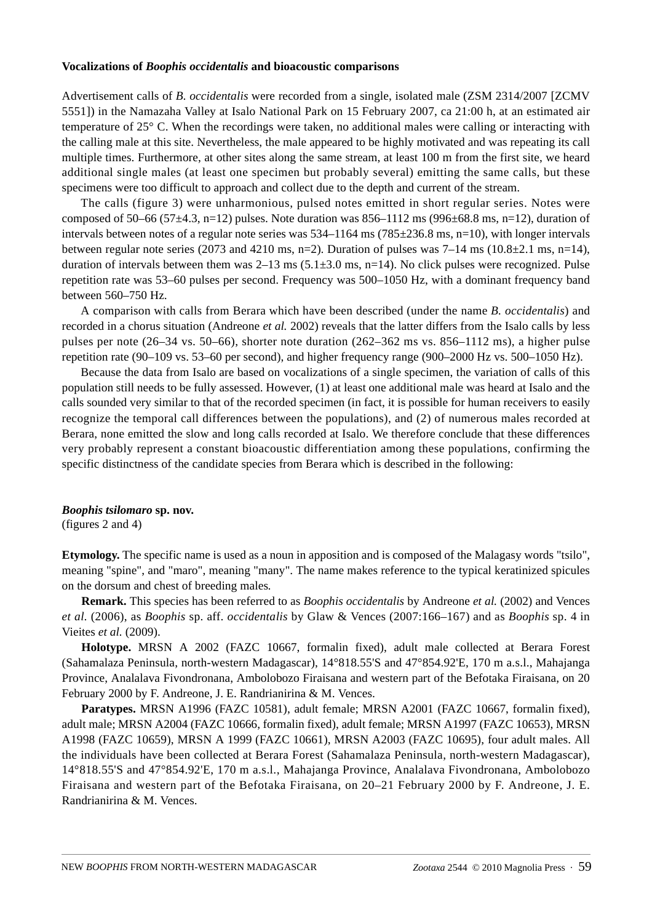## **Vocalizations of** *Boophis occidentalis* **and bioacoustic comparisons**

Advertisement calls of *B. occidentalis* were recorded from a single, isolated male (ZSM 2314/2007 [ZCMV 5551]) in the Namazaha Valley at Isalo National Park on 15 February 2007, ca 21:00 h, at an estimated air temperature of 25° C. When the recordings were taken, no additional males were calling or interacting with the calling male at this site. Nevertheless, the male appeared to be highly motivated and was repeating its call multiple times. Furthermore, at other sites along the same stream, at least 100 m from the first site, we heard additional single males (at least one specimen but probably several) emitting the same calls, but these specimens were too difficult to approach and collect due to the depth and current of the stream.

The calls (figure 3) were unharmonious, pulsed notes emitted in short regular series. Notes were composed of 50–66 (57 $\pm$ 4.3, n=12) pulses. Note duration was 856–1112 ms (996 $\pm$ 68.8 ms, n=12), duration of intervals between notes of a regular note series was 534–1164 ms (785±236.8 ms, n=10), with longer intervals between regular note series (2073 and 4210 ms, n=2). Duration of pulses was  $7-14$  ms ( $10.8\pm2.1$  ms, n=14), duration of intervals between them was  $2-13$  ms  $(5.1\pm3.0 \text{ ms}, \text{n}=14)$ . No click pulses were recognized. Pulse repetition rate was 53–60 pulses per second. Frequency was 500–1050 Hz, with a dominant frequency band between 560–750 Hz.

A comparison with calls from Berara which have been described (under the name *B. occidentalis*) and recorded in a chorus situation (Andreone *et al.* 2002) reveals that the latter differs from the Isalo calls by less pulses per note (26–34 vs. 50–66), shorter note duration (262–362 ms vs. 856–1112 ms), a higher pulse repetition rate (90–109 vs. 53–60 per second), and higher frequency range (900–2000 Hz vs. 500–1050 Hz).

Because the data from Isalo are based on vocalizations of a single specimen, the variation of calls of this population still needs to be fully assessed. However, (1) at least one additional male was heard at Isalo and the calls sounded very similar to that of the recorded specimen (in fact, it is possible for human receivers to easily recognize the temporal call differences between the populations), and (2) of numerous males recorded at Berara, none emitted the slow and long calls recorded at Isalo. We therefore conclude that these differences very probably represent a constant bioacoustic differentiation among these populations, confirming the specific distinctness of the candidate species from Berara which is described in the following:

## *Boophis tsilomaro* **sp. nov.**

(figures 2 and 4)

**Etymology.** The specific name is used as a noun in apposition and is composed of the Malagasy words "tsilo", meaning "spine", and "maro", meaning "many". The name makes reference to the typical keratinized spicules on the dorsum and chest of breeding males*.*

**Remark.** This species has been referred to as *Boophis occidentalis* by Andreone *et al.* (2002) and Vences *et al.* (2006), as *Boophis* sp. aff. *occidentalis* by Glaw & Vences (2007:166–167) and as *Boophis* sp. 4 in Vieites *et al.* (2009).

**Holotype.** MRSN A 2002 (FAZC 10667, formalin fixed), adult male collected at Berara Forest (Sahamalaza Peninsula, north-western Madagascar), 14°818.55'S and 47°854.92'E, 170 m a.s.l., Mahajanga Province, Analalava Fivondronana, Ambolobozo Firaisana and western part of the Befotaka Firaisana, on 20 February 2000 by F. Andreone, J. E. Randrianirina & M. Vences.

**Paratypes.** MRSN A1996 (FAZC 10581), adult female; MRSN A2001 (FAZC 10667, formalin fixed), adult male; MRSN A2004 (FAZC 10666, formalin fixed), adult female; MRSN A1997 (FAZC 10653), MRSN A1998 (FAZC 10659), MRSN A 1999 (FAZC 10661), MRSN A2003 (FAZC 10695), four adult males. All the individuals have been collected at Berara Forest (Sahamalaza Peninsula, north-western Madagascar), 14°818.55'S and 47°854.92'E, 170 m a.s.l., Mahajanga Province, Analalava Fivondronana, Ambolobozo Firaisana and western part of the Befotaka Firaisana, on 20–21 February 2000 by F. Andreone, J. E. Randrianirina & M. Vences.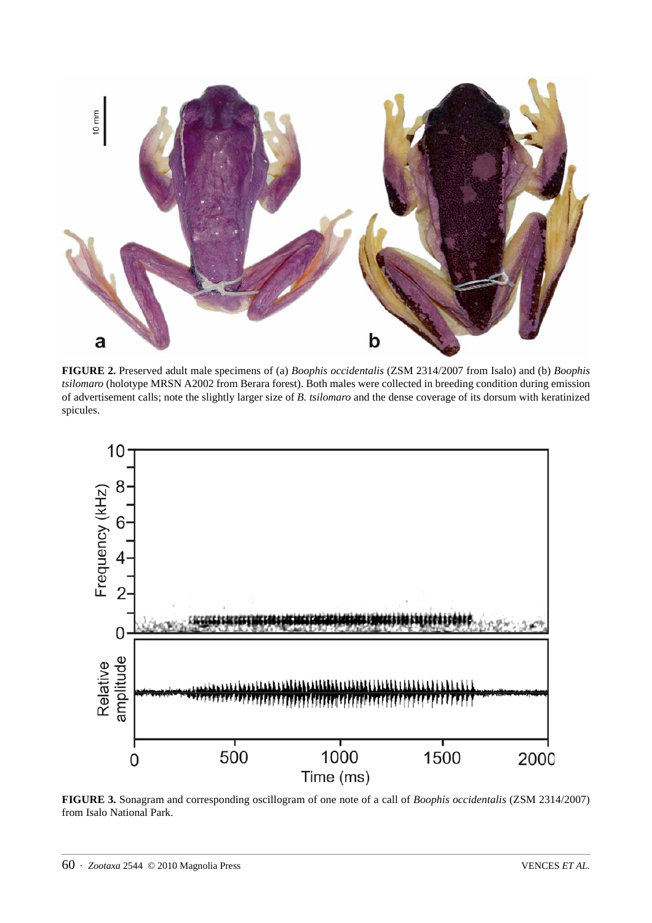

**FIGURE 2.** Preserved adult male specimens of (a) *Boophis occidentalis* (ZSM 2314/2007 from Isalo) and (b) *Boophis tsilomaro* (holotype MRSN A2002 from Berara forest). Both males were collected in breeding condition during emission of advertisement calls; note the slightly larger size of *B. tsilomaro* and the dense coverage of its dorsum with keratinized spicules.



**FIGURE 3.** Sonagram and corresponding oscillogram of one note of a call of *Boophis occidentalis* (ZSM 2314/2007) from Isalo National Park.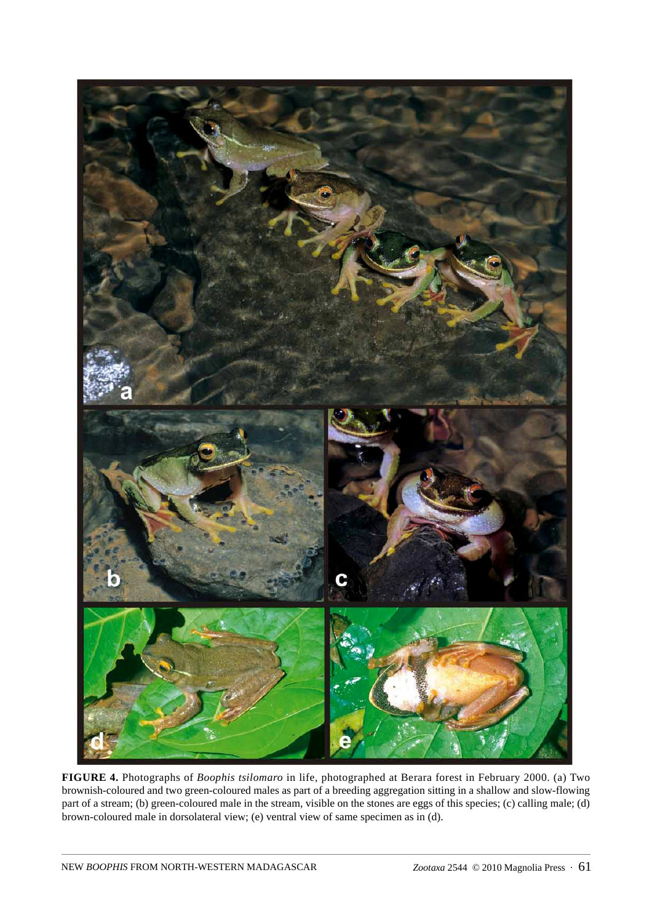

**FIGURE 4.** Photographs of *Boophis tsilomaro* in life, photographed at Berara forest in February 2000. (a) Two brownish-coloured and two green-coloured males as part of a breeding aggregation sitting in a shallow and slow-flowing part of a stream; (b) green-coloured male in the stream, visible on the stones are eggs of this species; (c) calling male; (d) brown-coloured male in dorsolateral view; (e) ventral view of same specimen as in (d).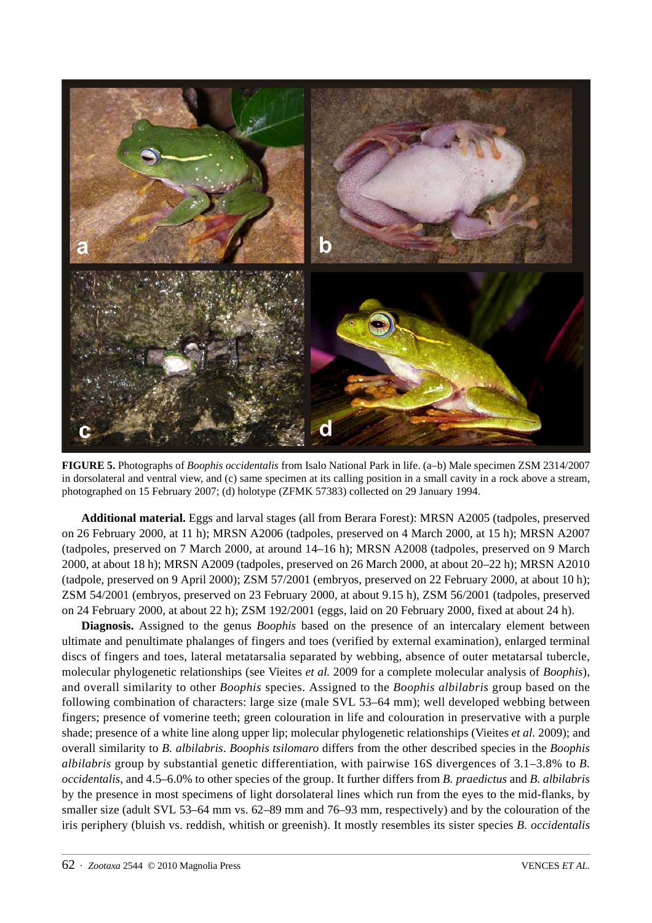

**FIGURE 5.** Photographs of *Boophis occidentalis* from Isalo National Park in life. (a–b) Male specimen ZSM 2314/2007 in dorsolateral and ventral view, and (c) same specimen at its calling position in a small cavity in a rock above a stream, photographed on 15 February 2007; (d) holotype (ZFMK 57383) collected on 29 January 1994.

**Additional material.** Eggs and larval stages (all from Berara Forest): MRSN A2005 (tadpoles, preserved on 26 February 2000, at 11 h); MRSN A2006 (tadpoles, preserved on 4 March 2000, at 15 h); MRSN A2007 (tadpoles, preserved on 7 March 2000, at around 14–16 h); MRSN A2008 (tadpoles, preserved on 9 March 2000, at about 18 h); MRSN A2009 (tadpoles, preserved on 26 March 2000, at about 20–22 h); MRSN A2010 (tadpole, preserved on 9 April 2000); ZSM 57/2001 (embryos, preserved on 22 February 2000, at about 10 h); ZSM 54/2001 (embryos, preserved on 23 February 2000, at about 9.15 h), ZSM 56/2001 (tadpoles, preserved on 24 February 2000, at about 22 h); ZSM 192/2001 (eggs, laid on 20 February 2000, fixed at about 24 h).

**Diagnosis.** Assigned to the genus *Boophis* based on the presence of an intercalary element between ultimate and penultimate phalanges of fingers and toes (verified by external examination), enlarged terminal discs of fingers and toes, lateral metatarsalia separated by webbing, absence of outer metatarsal tubercle, molecular phylogenetic relationships (see Vieites *et al.* 2009 for a complete molecular analysis of *Boophis*), and overall similarity to other *Boophis* species. Assigned to the *Boophis albilabris* group based on the following combination of characters: large size (male SVL 53–64 mm); well developed webbing between fingers; presence of vomerine teeth; green colouration in life and colouration in preservative with a purple shade; presence of a white line along upper lip; molecular phylogenetic relationships (Vieites *et al.* 2009); and overall similarity to *B. albilabris*. *Boophis tsilomaro* differs from the other described species in the *Boophis albilabris* group by substantial genetic differentiation, with pairwise 16S divergences of 3.1–3.8% to *B. occidentalis*, and 4.5–6.0% to other species of the group. It further differs from *B. praedictus* and *B. albilabris* by the presence in most specimens of light dorsolateral lines which run from the eyes to the mid-flanks, by smaller size (adult SVL 53–64 mm vs. 62–89 mm and 76–93 mm, respectively) and by the colouration of the iris periphery (bluish vs. reddish, whitish or greenish). It mostly resembles its sister species *B. occidentalis*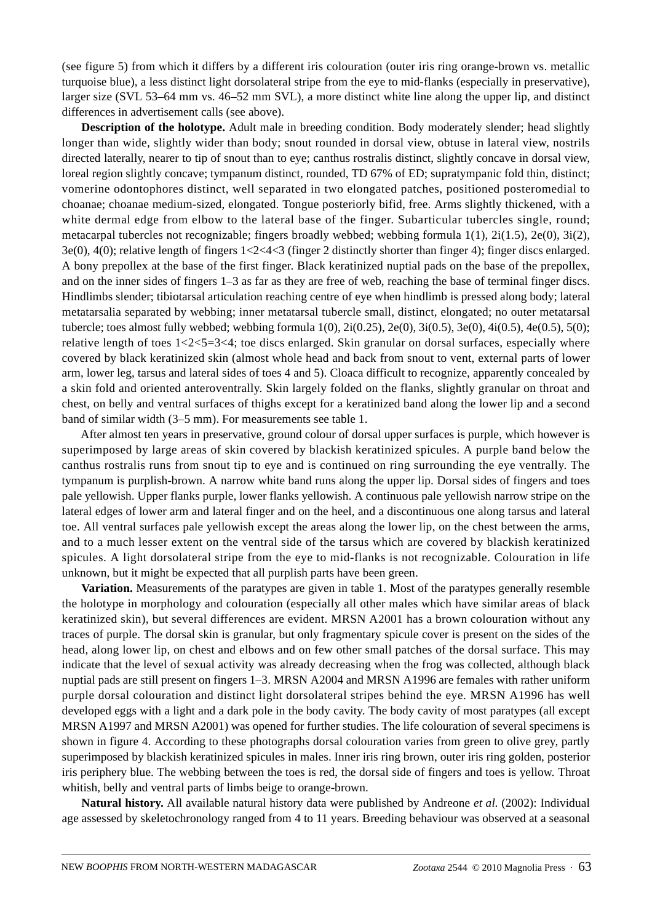(see figure 5) from which it differs by a different iris colouration (outer iris ring orange-brown vs. metallic turquoise blue), a less distinct light dorsolateral stripe from the eye to mid-flanks (especially in preservative), larger size (SVL 53–64 mm vs. 46–52 mm SVL), a more distinct white line along the upper lip, and distinct differences in advertisement calls (see above).

**Description of the holotype.** Adult male in breeding condition. Body moderately slender; head slightly longer than wide, slightly wider than body; snout rounded in dorsal view, obtuse in lateral view, nostrils directed laterally, nearer to tip of snout than to eye; canthus rostralis distinct, slightly concave in dorsal view, loreal region slightly concave; tympanum distinct, rounded, TD 67% of ED; supratympanic fold thin, distinct; vomerine odontophores distinct, well separated in two elongated patches, positioned posteromedial to choanae; choanae medium-sized, elongated. Tongue posteriorly bifid, free. Arms slightly thickened, with a white dermal edge from elbow to the lateral base of the finger. Subarticular tubercles single, round; metacarpal tubercles not recognizable; fingers broadly webbed; webbing formula 1(1), 2i(1.5), 2e(0), 3i(2), 3e(0), 4(0); relative length of fingers 1<2<4<3 (finger 2 distinctly shorter than finger 4); finger discs enlarged. A bony prepollex at the base of the first finger. Black keratinized nuptial pads on the base of the prepollex, and on the inner sides of fingers 1–3 as far as they are free of web, reaching the base of terminal finger discs. Hindlimbs slender; tibiotarsal articulation reaching centre of eye when hindlimb is pressed along body; lateral metatarsalia separated by webbing; inner metatarsal tubercle small, distinct, elongated; no outer metatarsal tubercle; toes almost fully webbed; webbing formula 1(0), 2i(0.25), 2e(0), 3i(0.5), 3e(0), 4i(0.5), 4e(0.5), 5(0); relative length of toes 1<2<5=3<4; toe discs enlarged. Skin granular on dorsal surfaces, especially where covered by black keratinized skin (almost whole head and back from snout to vent, external parts of lower arm, lower leg, tarsus and lateral sides of toes 4 and 5). Cloaca difficult to recognize, apparently concealed by a skin fold and oriented anteroventrally. Skin largely folded on the flanks, slightly granular on throat and chest, on belly and ventral surfaces of thighs except for a keratinized band along the lower lip and a second band of similar width (3–5 mm). For measurements see table 1.

After almost ten years in preservative, ground colour of dorsal upper surfaces is purple, which however is superimposed by large areas of skin covered by blackish keratinized spicules. A purple band below the canthus rostralis runs from snout tip to eye and is continued on ring surrounding the eye ventrally. The tympanum is purplish-brown. A narrow white band runs along the upper lip. Dorsal sides of fingers and toes pale yellowish. Upper flanks purple, lower flanks yellowish. A continuous pale yellowish narrow stripe on the lateral edges of lower arm and lateral finger and on the heel, and a discontinuous one along tarsus and lateral toe. All ventral surfaces pale yellowish except the areas along the lower lip, on the chest between the arms, and to a much lesser extent on the ventral side of the tarsus which are covered by blackish keratinized spicules. A light dorsolateral stripe from the eye to mid-flanks is not recognizable. Colouration in life unknown, but it might be expected that all purplish parts have been green.

**Variation.** Measurements of the paratypes are given in table 1. Most of the paratypes generally resemble the holotype in morphology and colouration (especially all other males which have similar areas of black keratinized skin), but several differences are evident. MRSN A2001 has a brown colouration without any traces of purple. The dorsal skin is granular, but only fragmentary spicule cover is present on the sides of the head, along lower lip, on chest and elbows and on few other small patches of the dorsal surface. This may indicate that the level of sexual activity was already decreasing when the frog was collected, although black nuptial pads are still present on fingers 1–3. MRSN A2004 and MRSN A1996 are females with rather uniform purple dorsal colouration and distinct light dorsolateral stripes behind the eye. MRSN A1996 has well developed eggs with a light and a dark pole in the body cavity. The body cavity of most paratypes (all except MRSN A1997 and MRSN A2001) was opened for further studies. The life colouration of several specimens is shown in figure 4. According to these photographs dorsal colouration varies from green to olive grey, partly superimposed by blackish keratinized spicules in males. Inner iris ring brown, outer iris ring golden, posterior iris periphery blue. The webbing between the toes is red, the dorsal side of fingers and toes is yellow. Throat whitish, belly and ventral parts of limbs beige to orange-brown.

**Natural history.** All available natural history data were published by Andreone *et al.* (2002): Individual age assessed by skeletochronology ranged from 4 to 11 years. Breeding behaviour was observed at a seasonal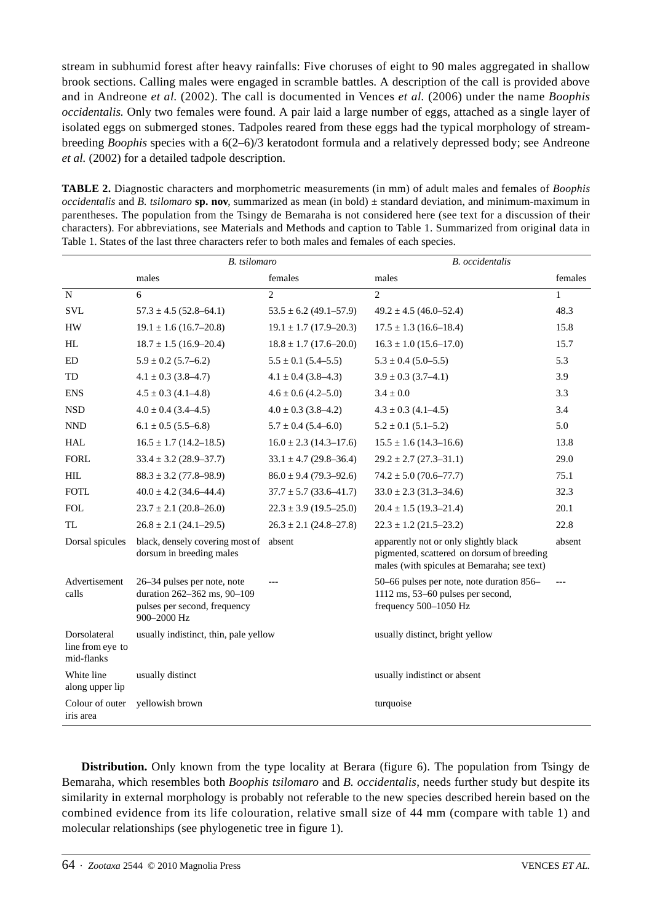stream in subhumid forest after heavy rainfalls: Five choruses of eight to 90 males aggregated in shallow brook sections. Calling males were engaged in scramble battles. A description of the call is provided above and in Andreone *et al.* (2002). The call is documented in Vences *et al.* (2006) under the name *Boophis occidentalis.* Only two females were found. A pair laid a large number of eggs, attached as a single layer of isolated eggs on submerged stones. Tadpoles reared from these eggs had the typical morphology of streambreeding *Boophis* species with a 6(2–6)/3 keratodont formula and a relatively depressed body; see Andreone *et al.* (2002) for a detailed tadpole description.

**TABLE 2.** Diagnostic characters and morphometric measurements (in mm) of adult males and females of *Boophis occidentalis* and *B. tsilomaro* **sp. nov**, summarized as mean (in bold) ± standard deviation, and minimum-maximum in parentheses. The population from the Tsingy de Bemaraha is not considered here (see text for a discussion of their characters). For abbreviations, see Materials and Methods and caption to Table 1. Summarized from original data in Table 1. States of the last three characters refer to both males and females of each species.

|                                                | B. tsilomaro                                                                                              |                              | <b>B.</b> occidentalis                                                                                                             |         |
|------------------------------------------------|-----------------------------------------------------------------------------------------------------------|------------------------------|------------------------------------------------------------------------------------------------------------------------------------|---------|
|                                                | males                                                                                                     | females                      | males                                                                                                                              | females |
| $\overline{N}$                                 | 6                                                                                                         | $\overline{2}$               | $\overline{2}$                                                                                                                     | 1       |
| <b>SVL</b>                                     | $57.3 \pm 4.5$ (52.8–64.1)                                                                                | $53.5 \pm 6.2$ (49.1-57.9)   | $49.2 \pm 4.5$ (46.0-52.4)                                                                                                         | 48.3    |
| <b>HW</b>                                      | $19.1 \pm 1.6$ (16.7–20.8)                                                                                | $19.1 \pm 1.7$ (17.9–20.3)   | $17.5 \pm 1.3$ (16.6–18.4)                                                                                                         | 15.8    |
| HL                                             | $18.7 \pm 1.5$ (16.9–20.4)                                                                                | $18.8 \pm 1.7$ (17.6–20.0)   | $16.3 \pm 1.0$ (15.6–17.0)                                                                                                         | 15.7    |
| <b>ED</b>                                      | $5.9 \pm 0.2$ (5.7–6.2)                                                                                   | $5.5 \pm 0.1$ (5.4–5.5)      | $5.3 \pm 0.4$ (5.0–5.5)                                                                                                            | 5.3     |
| TD                                             | $4.1 \pm 0.3$ (3.8–4.7)                                                                                   | $4.1 \pm 0.4$ (3.8–4.3)      | $3.9 \pm 0.3$ (3.7–4.1)                                                                                                            | 3.9     |
| <b>ENS</b>                                     | $4.5 \pm 0.3$ (4.1-4.8)                                                                                   | $4.6 \pm 0.6$ (4.2–5.0)      | $3.4 \pm 0.0$                                                                                                                      | 3.3     |
| <b>NSD</b>                                     | $4.0 \pm 0.4$ (3.4–4.5)                                                                                   | $4.0 \pm 0.3$ (3.8–4.2)      | $4.3 \pm 0.3$ (4.1-4.5)                                                                                                            | 3.4     |
| <b>NND</b>                                     | $6.1 \pm 0.5$ (5.5–6.8)                                                                                   | $5.7 \pm 0.4$ (5.4–6.0)      | $5.2 \pm 0.1$ (5.1-5.2)                                                                                                            | 5.0     |
| <b>HAL</b>                                     | $16.5 \pm 1.7$ (14.2–18.5)                                                                                | $16.0 \pm 2.3$ (14.3–17.6)   | $15.5 \pm 1.6$ (14.3-16.6)                                                                                                         | 13.8    |
| <b>FORL</b>                                    | $33.4 \pm 3.2$ (28.9–37.7)                                                                                | $33.1 \pm 4.7$ (29.8–36.4)   | $29.2 \pm 2.7$ (27.3–31.1)                                                                                                         | 29.0    |
| <b>HIL</b>                                     | $88.3 \pm 3.2$ (77.8–98.9)                                                                                | $86.0 \pm 9.4$ (79.3–92.6)   | $74.2 \pm 5.0$ (70.6–77.7)                                                                                                         | 75.1    |
| <b>FOTL</b>                                    | $40.0 \pm 4.2$ (34.6–44.4)                                                                                | $37.7 \pm 5.7$ (33.6–41.7)   | $33.0 \pm 2.3$ (31.3–34.6)                                                                                                         | 32.3    |
| <b>FOL</b>                                     | $23.7 \pm 2.1$ (20.8–26.0)                                                                                | $22.3 \pm 3.9$ (19.5–25.0)   | $20.4 \pm 1.5$ (19.3–21.4)                                                                                                         | 20.1    |
| <b>TL</b>                                      | $26.8 \pm 2.1$ (24.1–29.5)                                                                                | $26.3 \pm 2.1 (24.8 - 27.8)$ | $22.3 \pm 1.2$ (21.5–23.2)                                                                                                         | 22.8    |
| Dorsal spicules                                | black, densely covering most of absent<br>dorsum in breeding males                                        |                              | apparently not or only slightly black<br>pigmented, scattered on dorsum of breeding<br>males (with spicules at Bemaraha; see text) | absent  |
| Advertisement<br>calls                         | 26-34 pulses per note, note<br>duration 262-362 ms, 90-109<br>pulses per second, frequency<br>900-2000 Hz |                              | 50-66 pulses per note, note duration 856-<br>1112 ms, 53–60 pulses per second,<br>frequency 500-1050 Hz                            | ---     |
| Dorsolateral<br>line from eye to<br>mid-flanks | usually indistinct, thin, pale yellow                                                                     |                              | usually distinct, bright yellow                                                                                                    |         |
| White line<br>along upper lip                  | usually distinct                                                                                          |                              | usually indistinct or absent                                                                                                       |         |
| Colour of outer<br>iris area                   | yellowish brown                                                                                           |                              | turquoise                                                                                                                          |         |

**Distribution.** Only known from the type locality at Berara (figure 6). The population from Tsingy de Bemaraha, which resembles both *Boophis tsilomaro* and *B. occidentalis*, needs further study but despite its similarity in external morphology is probably not referable to the new species described herein based on the combined evidence from its life colouration, relative small size of 44 mm (compare with table 1) and molecular relationships (see phylogenetic tree in figure 1).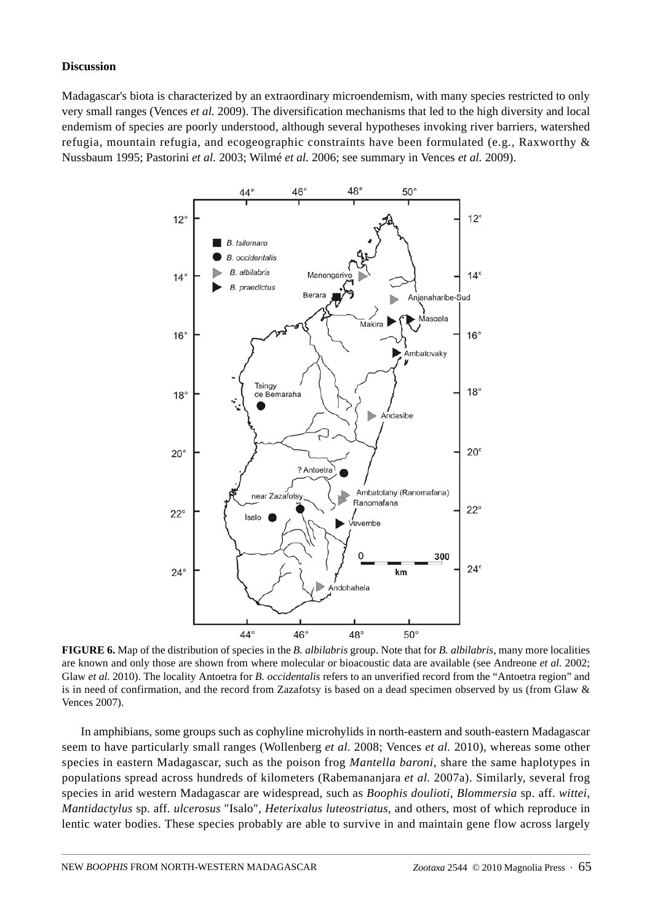## **Discussion**

Madagascar's biota is characterized by an extraordinary microendemism, with many species restricted to only very small ranges (Vences *et al.* 2009). The diversification mechanisms that led to the high diversity and local endemism of species are poorly understood, although several hypotheses invoking river barriers, watershed refugia, mountain refugia, and ecogeographic constraints have been formulated (e.g., Raxworthy & Nussbaum 1995; Pastorini *et al.* 2003; Wilmé *et al.* 2006; see summary in Vences *et al.* 2009).



**FIGURE 6.** Map of the distribution of species in the *B. albilabris* group. Note that for *B. albilabris*, many more localities are known and only those are shown from where molecular or bioacoustic data are available (see Andreone *et al.* 2002; Glaw *et al.* 2010). The locality Antoetra for *B. occidentalis* refers to an unverified record from the "Antoetra region" and is in need of confirmation, and the record from Zazafotsy is based on a dead specimen observed by us (from Glaw & Vences 2007).

In amphibians, some groups such as cophyline microhylids in north-eastern and south-eastern Madagascar seem to have particularly small ranges (Wollenberg *et al.* 2008; Vences *et al.* 2010), whereas some other species in eastern Madagascar, such as the poison frog *Mantella baroni*, share the same haplotypes in populations spread across hundreds of kilometers (Rabemananjara *et al.* 2007a). Similarly, several frog species in arid western Madagascar are widespread, such as *Boophis doulioti, Blommersia* sp. aff. *wittei*, *Mantidactylus* sp. aff. *ulcerosus* "Isalo"*, Heterixalus luteostriatus,* and others, most of which reproduce in lentic water bodies. These species probably are able to survive in and maintain gene flow across largely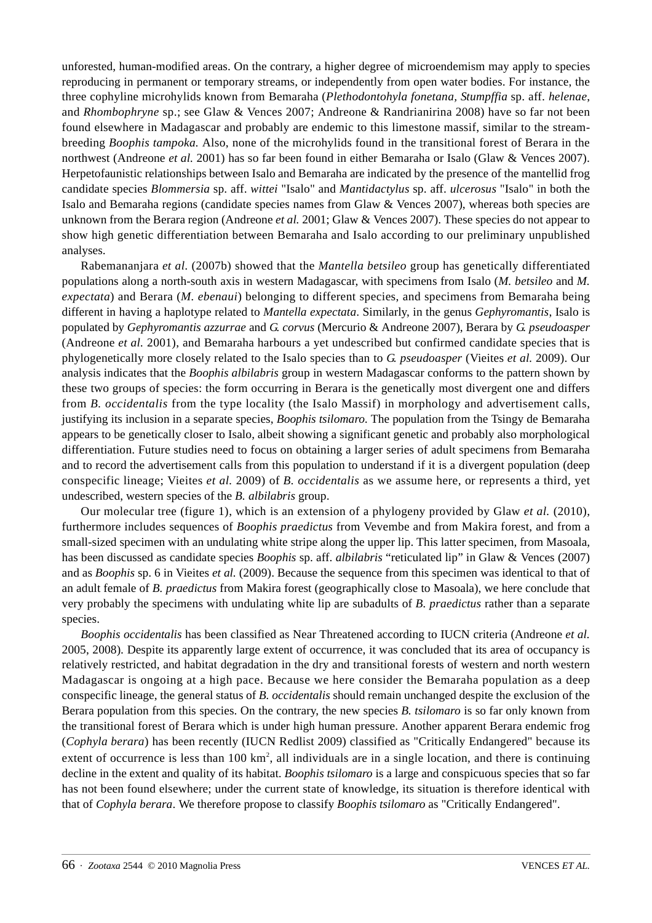unforested, human-modified areas. On the contrary, a higher degree of microendemism may apply to species reproducing in permanent or temporary streams, or independently from open water bodies. For instance, the three cophyline microhylids known from Bemaraha (*Plethodontohyla fonetana, Stumpffia* sp. aff. *helenae*, and *Rhombophryne* sp.; see Glaw & Vences 2007; Andreone & Randrianirina 2008) have so far not been found elsewhere in Madagascar and probably are endemic to this limestone massif, similar to the streambreeding *Boophis tampoka.* Also, none of the microhylids found in the transitional forest of Berara in the northwest (Andreone *et al.* 2001) has so far been found in either Bemaraha or Isalo (Glaw & Vences 2007). Herpetofaunistic relationships between Isalo and Bemaraha are indicated by the presence of the mantellid frog candidate species *Blommersia* sp. aff. *wittei* "Isalo" and *Mantidactylus* sp. aff. *ulcerosus* "Isalo" in both the Isalo and Bemaraha regions (candidate species names from Glaw & Vences 2007), whereas both species are unknown from the Berara region (Andreone *et al.* 2001; Glaw & Vences 2007). These species do not appear to show high genetic differentiation between Bemaraha and Isalo according to our preliminary unpublished analyses.

Rabemananjara *et al.* (2007b) showed that the *Mantella betsileo* group has genetically differentiated populations along a north-south axis in western Madagascar, with specimens from Isalo (*M. betsileo* and *M. expectata*) and Berara (*M. ebenaui*) belonging to different species, and specimens from Bemaraha being different in having a haplotype related to *Mantella expectata*. Similarly, in the genus *Gephyromantis*, Isalo is populated by *Gephyromantis azzurrae* and *G. corvus* (Mercurio & Andreone 2007), Berara by *G. pseudoasper* (Andreone *et al.* 2001), and Bemaraha harbours a yet undescribed but confirmed candidate species that is phylogenetically more closely related to the Isalo species than to *G. pseudoasper* (Vieites *et al.* 2009). Our analysis indicates that the *Boophis albilabris* group in western Madagascar conforms to the pattern shown by these two groups of species: the form occurring in Berara is the genetically most divergent one and differs from *B. occidentalis* from the type locality (the Isalo Massif) in morphology and advertisement calls, justifying its inclusion in a separate species, *Boophis tsilomaro.* The population from the Tsingy de Bemaraha appears to be genetically closer to Isalo, albeit showing a significant genetic and probably also morphological differentiation. Future studies need to focus on obtaining a larger series of adult specimens from Bemaraha and to record the advertisement calls from this population to understand if it is a divergent population (deep conspecific lineage; Vieites *et al.* 2009) of *B. occidentalis* as we assume here, or represents a third, yet undescribed, western species of the *B. albilabris* group.

Our molecular tree (figure 1), which is an extension of a phylogeny provided by Glaw *et al.* (2010), furthermore includes sequences of *Boophis praedictus* from Vevembe and from Makira forest, and from a small-sized specimen with an undulating white stripe along the upper lip. This latter specimen, from Masoala, has been discussed as candidate species *Boophis* sp. aff. *albilabris* "reticulated lip" in Glaw & Vences (2007) and as *Boophis* sp. 6 in Vieites *et al.* (2009). Because the sequence from this specimen was identical to that of an adult female of *B. praedictus* from Makira forest (geographically close to Masoala), we here conclude that very probably the specimens with undulating white lip are subadults of *B. praedictus* rather than a separate species.

*Boophis occidentalis* has been classified as Near Threatened according to IUCN criteria (Andreone *et al.* 2005, 2008). Despite its apparently large extent of occurrence, it was concluded that its area of occupancy is relatively restricted, and habitat degradation in the dry and transitional forests of western and north western Madagascar is ongoing at a high pace. Because we here consider the Bemaraha population as a deep conspecific lineage, the general status of *B. occidentalis* should remain unchanged despite the exclusion of the Berara population from this species. On the contrary, the new species *B. tsilomaro* is so far only known from the transitional forest of Berara which is under high human pressure. Another apparent Berara endemic frog (*Cophyla berara*) has been recently (IUCN Redlist 2009) classified as "Critically Endangered" because its extent of occurrence is less than 100 km<sup>2</sup>, all individuals are in a single location, and there is continuing decline in the extent and quality of its habitat. *Boophis tsilomaro* is a large and conspicuous species that so far has not been found elsewhere; under the current state of knowledge, its situation is therefore identical with that of *Cophyla berara*. We therefore propose to classify *Boophis tsilomaro* as "Critically Endangered".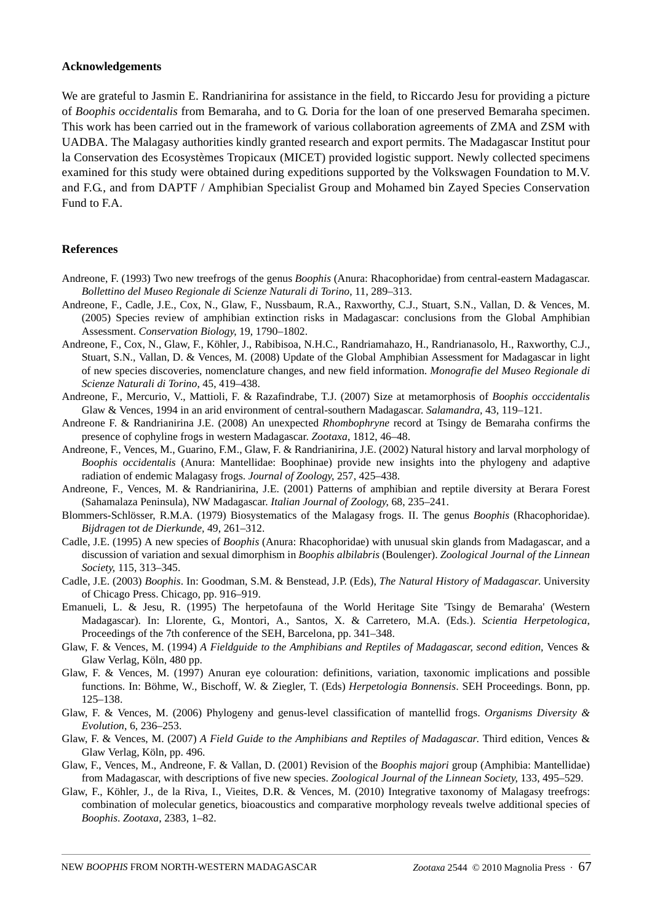#### **Acknowledgements**

We are grateful to Jasmin E. Randrianirina for assistance in the field, to Riccardo Jesu for providing a picture of *Boophis occidentalis* from Bemaraha, and to G. Doria for the loan of one preserved Bemaraha specimen. This work has been carried out in the framework of various collaboration agreements of ZMA and ZSM with UADBA. The Malagasy authorities kindly granted research and export permits. The Madagascar Institut pour la Conservation des Ecosystèmes Tropicaux (MICET) provided logistic support. Newly collected specimens examined for this study were obtained during expeditions supported by the Volkswagen Foundation to M.V. and F.G., and from DAPTF / Amphibian Specialist Group and Mohamed bin Zayed Species Conservation Fund to F.A.

## **References**

- Andreone, F. (1993) Two new treefrogs of the genus *Boophis* (Anura: Rhacophoridae) from central-eastern Madagascar. *Bollettino del Museo Regionale di Scienze Naturali di Torino*, 11, 289–313.
- Andreone, F., Cadle, J.E., Cox, N., Glaw, F., Nussbaum, R.A., Raxworthy, C.J., Stuart, S.N., Vallan, D. & Vences, M. (2005) Species review of amphibian extinction risks in Madagascar: conclusions from the Global Amphibian Assessment. *Conservation Biology*, 19, 1790–1802.
- Andreone, F., Cox, N., Glaw, F., Köhler, J., Rabibisoa, N.H.C., Randriamahazo, H., Randrianasolo, H., Raxworthy, C.J., Stuart, S.N., Vallan, D. & Vences, M. (2008) Update of the Global Amphibian Assessment for Madagascar in light of new species discoveries, nomenclature changes, and new field information. *Monografie del Museo Regionale di Scienze Naturali di Torino*, 45, 419–438.
- Andreone, F., Mercurio, V., Mattioli, F. & Razafindrabe, T.J. (2007) Size at metamorphosis of *Boophis occcidentalis* Glaw & Vences, 1994 in an arid environment of central-southern Madagascar. *Salamandra,* 43, 119–121.
- Andreone F. & Randrianirina J.E. (2008) An unexpected *Rhombophryne* record at Tsingy de Bemaraha confirms the presence of cophyline frogs in western Madagascar. *Zootaxa*, 1812, 46–48.
- Andreone, F., Vences, M., Guarino, F.M., Glaw, F. & Randrianirina, J.E. (2002) Natural history and larval morphology of *Boophis occidentalis* (Anura: Mantellidae: Boophinae) provide new insights into the phylogeny and adaptive radiation of endemic Malagasy frogs. *Journal of Zoology*, 257, 425–438.
- Andreone, F., Vences, M. & Randrianirina, J.E. (2001) Patterns of amphibian and reptile diversity at Berara Forest (Sahamalaza Peninsula), NW Madagascar. *Italian Journal of Zoology*, 68, 235–241.
- Blommers-Schlösser, R.M.A. (1979) Biosystematics of the Malagasy frogs. II. The genus *Boophis* (Rhacophoridae). *Bijdragen tot de Dierkunde,* 49, 261–312.
- Cadle, J.E. (1995) A new species of *Boophis* (Anura: Rhacophoridae) with unusual skin glands from Madagascar, and a discussion of variation and sexual dimorphism in *Boophis albilabris* (Boulenger). *Zoological Journal of the Linnean Society*, 115, 313–345.
- Cadle, J.E. (2003) *Boophis*. In: Goodman, S.M. & Benstead, J.P. (Eds), *The Natural History of Madagascar*. University of Chicago Press. Chicago, pp. 916–919.
- Emanueli, L. & Jesu, R. (1995) The herpetofauna of the World Heritage Site 'Tsingy de Bemaraha' (Western Madagascar). In: Llorente, G., Montori, A., Santos, X. & Carretero, M.A. (Eds.). *Scientia Herpetologica*, Proceedings of the 7th conference of the SEH, Barcelona, pp. 341–348.
- Glaw, F. & Vences, M. (1994) *A Fieldguide to the Amphibians and Reptiles of Madagascar, second edition,* Vences & Glaw Verlag, Köln, 480 pp.
- Glaw, F. & Vences, M. (1997) Anuran eye colouration: definitions, variation, taxonomic implications and possible functions. In: Böhme, W., Bischoff, W. & Ziegler, T. (Eds) *Herpetologia Bonnensis*. SEH Proceedings. Bonn, pp. 125–138.
- Glaw, F. & Vences, M. (2006) Phylogeny and genus-level classification of mantellid frogs. *Organisms Diversity & Evolution*, 6, 236–253.
- Glaw, F. & Vences, M. (2007) *A Field Guide to the Amphibians and Reptiles of Madagascar*. Third edition, Vences & Glaw Verlag, Köln, pp. 496.
- Glaw, F., Vences, M., Andreone, F. & Vallan, D. (2001) Revision of the *Boophis majori* group (Amphibia: Mantellidae) from Madagascar, with descriptions of five new species. *Zoological Journal of the Linnean Society*, 133, 495–529.
- Glaw, F., Köhler, J., de la Riva, I., Vieites, D.R. & Vences, M. (2010) Integrative taxonomy of Malagasy treefrogs: combination of molecular genetics, bioacoustics and comparative morphology reveals twelve additional species of *Boophis*. *Zootaxa*, 2383, 1–82.